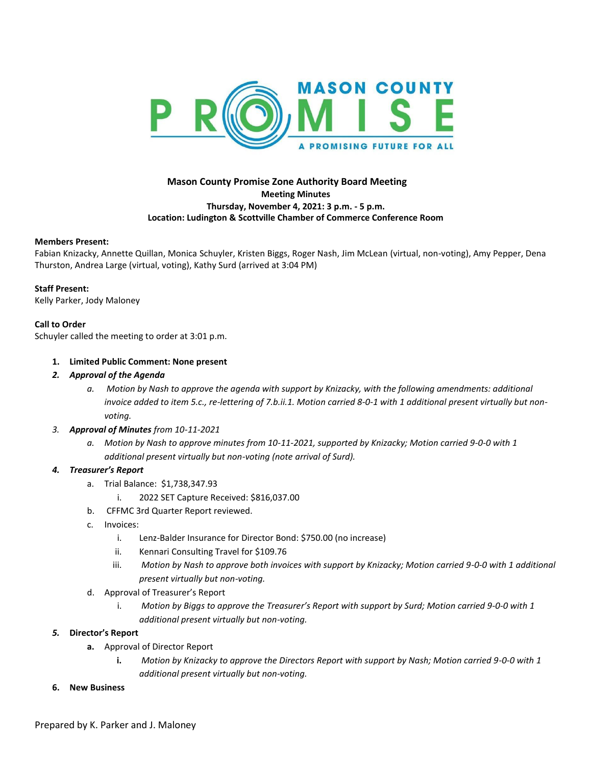

# **Mason County Promise Zone Authority Board Meeting Meeting Minutes Thursday, November 4, 2021: 3 p.m. - 5 p.m. Location: Ludington & Scottville Chamber of Commerce Conference Room**

#### **Members Present:**

Fabian Knizacky, Annette Quillan, Monica Schuyler, Kristen Biggs, Roger Nash, Jim McLean (virtual, non-voting), Amy Pepper, Dena Thurston, Andrea Large (virtual, voting), Kathy Surd (arrived at 3:04 PM)

#### **Staff Present:**

Kelly Parker, Jody Maloney

### **Call to Order**

Schuyler called the meeting to order at 3:01 p.m.

### **1. Limited Public Comment: None present**

- *2. Approval of the Agenda*
	- *a. Motion by Nash to approve the agenda with support by Knizacky, with the following amendments: additional invoice added to item 5.c., re-lettering of 7.b.ii.1. Motion carried 8-0-1 with 1 additional present virtually but nonvoting.*

### *3. Approval of Minutes from 10-11-2021*

*a. Motion by Nash to approve minutes from 10-11-2021, supported by Knizacky; Motion carried 9-0-0 with 1 additional present virtually but non-voting (note arrival of Surd).*

### *4. Treasurer's Report*

- a. Trial Balance: \$1,738,347.93
	- i. 2022 SET Capture Received: \$816,037.00
- b. CFFMC 3rd Quarter Report reviewed.
- c. Invoices:
	- i. Lenz-Balder Insurance for Director Bond: \$750.00 (no increase)
	- ii. Kennari Consulting Travel for \$109.76
	- iii. Motion by Nash to approve both invoices with support by Knizacky; Motion carried 9-0-0 with 1 additional *present virtually but non-voting.*
- d. Approval of Treasurer's Report
	- i. *Motion by Biggs to approve the Treasurer's Report with support by Surd; Motion carried 9-0-0 with 1 additional present virtually but non-voting.*

#### *5.* **Director's Report**

- **a.** Approval of Director Report
	- **i.** *Motion by Knizacky to approve the Directors Report with support by Nash; Motion carried 9-0-0 with 1 additional present virtually but non-voting.*
- **6. New Business**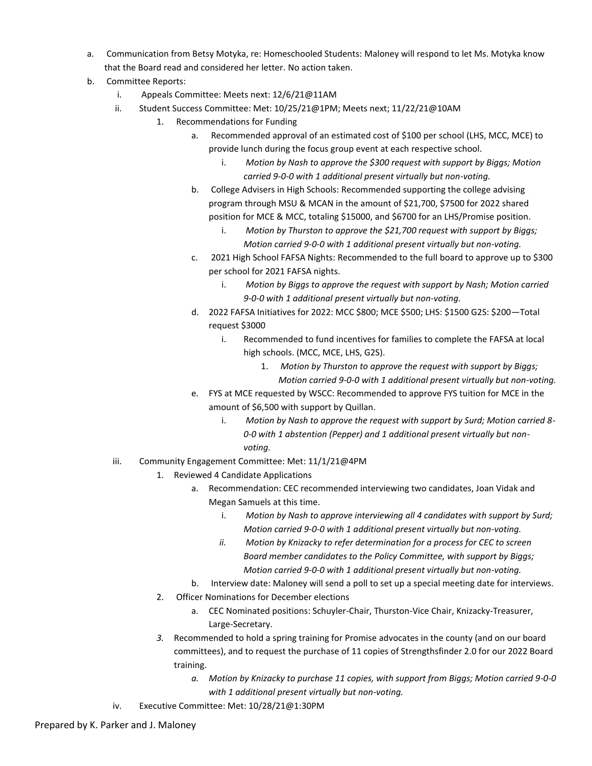- a. Communication from Betsy Motyka, re: Homeschooled Students: Maloney will respond to let Ms. Motyka know that the Board read and considered her letter. No action taken.
- b. Committee Reports:
	- i. Appeals Committee: Meets next: 12/6/21@11AM
	- ii. Student Success Committee: Met: 10/25/21@1PM; Meets next; 11/22/21@10AM
		- 1. Recommendations for Funding
			- a. Recommended approval of an estimated cost of \$100 per school (LHS, MCC, MCE) to provide lunch during the focus group event at each respective school.
				- i. *Motion by Nash to approve the \$300 request with support by Biggs; Motion carried 9-0-0 with 1 additional present virtually but non-voting.*
			- b. College Advisers in High Schools: Recommended supporting the college advising program through MSU & MCAN in the amount of \$21,700, \$7500 for 2022 shared position for MCE & MCC, totaling \$15000, and \$6700 for an LHS/Promise position.
				- i. *Motion by Thurston to approve the \$21,700 request with support by Biggs; Motion carried 9-0-0 with 1 additional present virtually but non-voting.*
			- c. 2021 High School FAFSA Nights: Recommended to the full board to approve up to \$300 per school for 2021 FAFSA nights.
				- i. *Motion by Biggs to approve the request with support by Nash; Motion carried 9-0-0 with 1 additional present virtually but non-voting.*
			- d. 2022 FAFSA Initiatives for 2022: MCC \$800; MCE \$500; LHS: \$1500 G2S: \$200—Total request \$3000
				- i. Recommended to fund incentives for families to complete the FAFSA at local high schools. (MCC, MCE, LHS, G2S).
					- 1. *Motion by Thurston to approve the request with support by Biggs; Motion carried 9-0-0 with 1 additional present virtually but non-voting.*
			- e. FYS at MCE requested by WSCC: Recommended to approve FYS tuition for MCE in the amount of \$6,500 with support by Quillan.
				- i. *Motion by Nash to approve the request with support by Surd; Motion carried 8- 0-0 with 1 abstention (Pepper) and 1 additional present virtually but nonvoting.*
	- iii. Community Engagement Committee: Met: 11/1/21@4PM
		- 1. Reviewed 4 Candidate Applications
			- a. Recommendation: CEC recommended interviewing two candidates, Joan Vidak and Megan Samuels at this time.
				- i. *Motion by Nash to approve interviewing all 4 candidates with support by Surd; Motion carried 9-0-0 with 1 additional present virtually but non-voting.*
				- *ii. Motion by Knizacky to refer determination for a process for CEC to screen Board member candidates to the Policy Committee, with support by Biggs; Motion carried 9-0-0 with 1 additional present virtually but non-voting.*
			- b. Interview date: Maloney will send a poll to set up a special meeting date for interviews.
		- 2. Officer Nominations for December elections
			- a. CEC Nominated positions: Schuyler-Chair, Thurston-Vice Chair, Knizacky-Treasurer, Large-Secretary.
		- *3.* Recommended to hold a spring training for Promise advocates in the county (and on our board committees), and to request the purchase of 11 copies of Strengthsfinder 2.0 for our 2022 Board training.
			- *a. Motion by Knizacky to purchase 11 copies, with support from Biggs; Motion carried 9-0-0 with 1 additional present virtually but non-voting.*
	- iv. Executive Committee: Met: 10/28/21@1:30PM